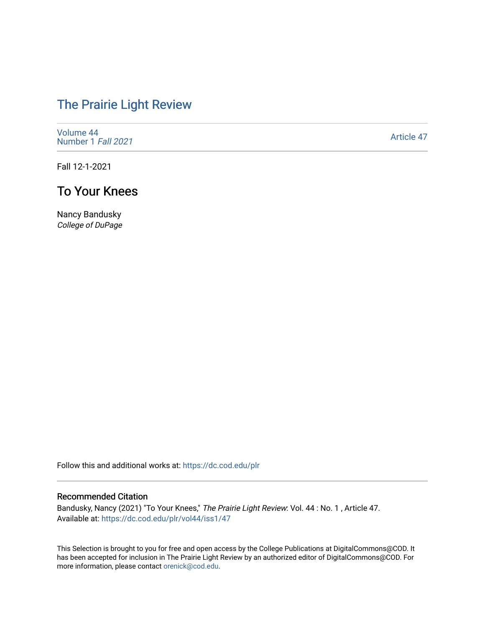# [The Prairie Light Review](https://dc.cod.edu/plr)

[Volume 44](https://dc.cod.edu/plr/vol44) [Number 1](https://dc.cod.edu/plr/vol44/iss1) Fall 2021

[Article 47](https://dc.cod.edu/plr/vol44/iss1/47) 

Fall 12-1-2021

## To Your Knees

Nancy Bandusky College of DuPage

Follow this and additional works at: [https://dc.cod.edu/plr](https://dc.cod.edu/plr?utm_source=dc.cod.edu%2Fplr%2Fvol44%2Fiss1%2F47&utm_medium=PDF&utm_campaign=PDFCoverPages) 

#### Recommended Citation

Bandusky, Nancy (2021) "To Your Knees," The Prairie Light Review: Vol. 44 : No. 1 , Article 47. Available at: [https://dc.cod.edu/plr/vol44/iss1/47](https://dc.cod.edu/plr/vol44/iss1/47?utm_source=dc.cod.edu%2Fplr%2Fvol44%2Fiss1%2F47&utm_medium=PDF&utm_campaign=PDFCoverPages)

This Selection is brought to you for free and open access by the College Publications at DigitalCommons@COD. It has been accepted for inclusion in The Prairie Light Review by an authorized editor of DigitalCommons@COD. For more information, please contact [orenick@cod.edu.](mailto:orenick@cod.edu)